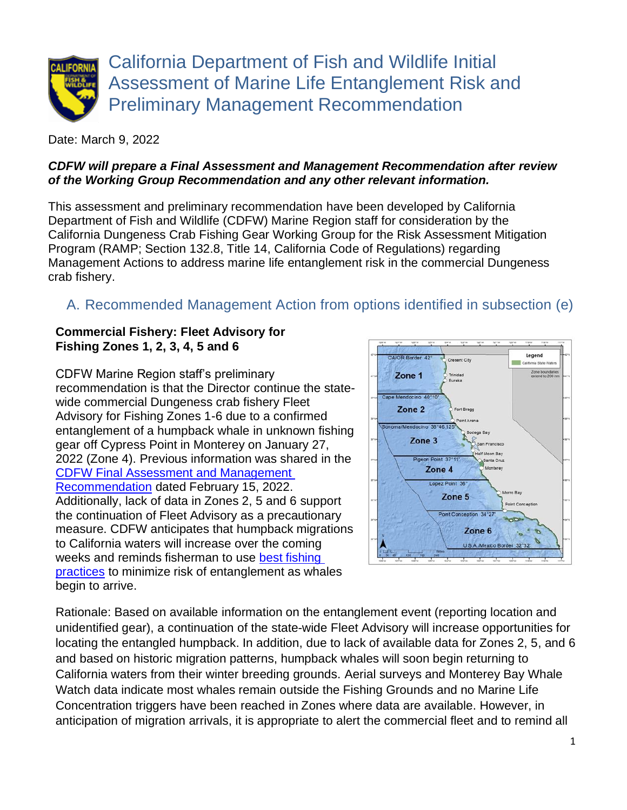

Date: March 9, 2022

#### *CDFW will prepare a Final Assessment and Management Recommendation after review of the Working Group Recommendation and any other relevant information.*

This assessment and preliminary recommendation have been developed by California Department of Fish and Wildlife (CDFW) Marine Region staff for consideration by the California Dungeness Crab Fishing Gear Working Group for the Risk Assessment Mitigation Program (RAMP; Section 132.8, Title 14, California Code of Regulations) regarding Management Actions to address marine life entanglement risk in the commercial Dungeness crab fishery.

# A. Recommended Management Action from options identified in subsection (e)

#### **Commercial Fishery: Fleet Advisory for Fishing Zones 1, 2, 3, 4, 5 and 6**

CDFW Marine Region staff's preliminary recommendation is that the Director continue the statewide commercial Dungeness crab fishery Fleet Advisory for Fishing Zones 1-6 due to a confirmed entanglement of a humpback whale in unknown fishing gear off Cypress Point in Monterey on January 27, 2022 (Zone 4). Previous information was shared in the [CDFW Final Assessment and Management](https://nrm.dfg.ca.gov/FileHandler.ashx?DocumentID=199002&inline)  [Recommendation](https://nrm.dfg.ca.gov/FileHandler.ashx?DocumentID=199002&inline) dated February 15, 2022. Additionally, lack of data in Zones 2, 5 and 6 support the continuation of Fleet Advisory as a precautionary measure. CDFW anticipates that humpback migrations to California waters will increase over the coming weeks and reminds fisherman to use [best fishing](https://nrm.dfg.ca.gov/FileHandler.ashx?DocumentID=195428&inline)  [practices](https://nrm.dfg.ca.gov/FileHandler.ashx?DocumentID=195428&inline) to minimize risk of entanglement as whales begin to arrive.



Rationale: Based on available information on the entanglement event (reporting location and unidentified gear), a continuation of the state-wide Fleet Advisory will increase opportunities for locating the entangled humpback. In addition, due to lack of available data for Zones 2, 5, and 6 and based on historic migration patterns, humpback whales will soon begin returning to California waters from their winter breeding grounds. Aerial surveys and Monterey Bay Whale Watch data indicate most whales remain outside the Fishing Grounds and no Marine Life Concentration triggers have been reached in Zones where data are available. However, in anticipation of migration arrivals, it is appropriate to alert the commercial fleet and to remind all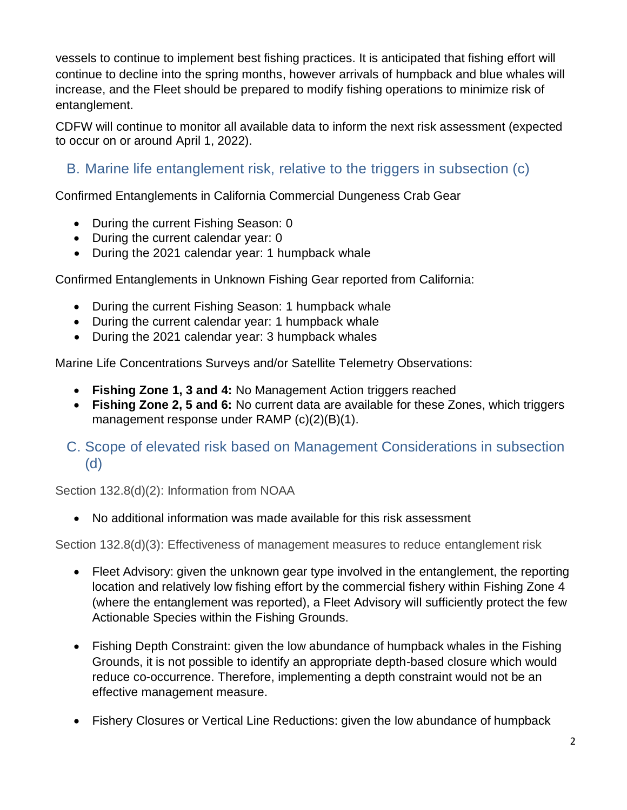vessels to continue to implement best fishing practices. It is anticipated that fishing effort will continue to decline into the spring months, however arrivals of humpback and blue whales will increase, and the Fleet should be prepared to modify fishing operations to minimize risk of entanglement.

CDFW will continue to monitor all available data to inform the next risk assessment (expected to occur on or around April 1, 2022).

## B. Marine life entanglement risk, relative to the triggers in subsection (c)

Confirmed Entanglements in California Commercial Dungeness Crab Gear

- During the current Fishing Season: 0
- During the current calendar year: 0
- During the 2021 calendar year: 1 humpback whale

Confirmed Entanglements in Unknown Fishing Gear reported from California:

- During the current Fishing Season: 1 humpback whale
- During the current calendar year: 1 humpback whale
- During the 2021 calendar year: 3 humpback whales

Marine Life Concentrations Surveys and/or Satellite Telemetry Observations:

- **Fishing Zone 1, 3 and 4:** No Management Action triggers reached
- **Fishing Zone 2, 5 and 6:** No current data are available for these Zones, which triggers management response under RAMP (c)(2)(B)(1).

### C. Scope of elevated risk based on Management Considerations in subsection (d)

Section 132.8(d)(2): Information from NOAA

• No additional information was made available for this risk assessment

Section 132.8(d)(3): Effectiveness of management measures to reduce entanglement risk

- Fleet Advisory: given the unknown gear type involved in the entanglement, the reporting location and relatively low fishing effort by the commercial fishery within Fishing Zone 4 (where the entanglement was reported), a Fleet Advisory will sufficiently protect the few Actionable Species within the Fishing Grounds.
- Fishing Depth Constraint: given the low abundance of humpback whales in the Fishing Grounds, it is not possible to identify an appropriate depth-based closure which would reduce co-occurrence. Therefore, implementing a depth constraint would not be an effective management measure.
- Fishery Closures or Vertical Line Reductions: given the low abundance of humpback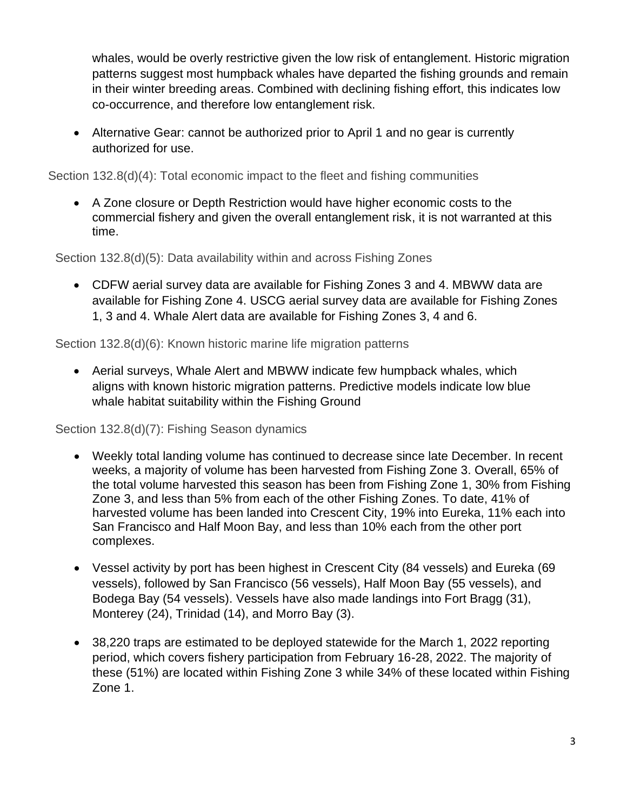whales, would be overly restrictive given the low risk of entanglement. Historic migration patterns suggest most humpback whales have departed the fishing grounds and remain in their winter breeding areas. Combined with declining fishing effort, this indicates low co-occurrence, and therefore low entanglement risk.

• Alternative Gear: cannot be authorized prior to April 1 and no gear is currently authorized for use.

Section 132.8(d)(4): Total economic impact to the fleet and fishing communities

• A Zone closure or Depth Restriction would have higher economic costs to the commercial fishery and given the overall entanglement risk, it is not warranted at this time.

Section 132.8(d)(5): Data availability within and across Fishing Zones

• CDFW aerial survey data are available for Fishing Zones 3 and 4. MBWW data are available for Fishing Zone 4. USCG aerial survey data are available for Fishing Zones 1, 3 and 4. Whale Alert data are available for Fishing Zones 3, 4 and 6.

Section 132.8(d)(6): Known historic marine life migration patterns

• Aerial surveys, Whale Alert and MBWW indicate few humpback whales, which aligns with known historic migration patterns. Predictive models indicate low blue whale habitat suitability within the Fishing Ground

Section 132.8(d)(7): Fishing Season dynamics

- Weekly total landing volume has continued to decrease since late December. In recent weeks, a majority of volume has been harvested from Fishing Zone 3. Overall, 65% of the total volume harvested this season has been from Fishing Zone 1, 30% from Fishing Zone 3, and less than 5% from each of the other Fishing Zones. To date, 41% of harvested volume has been landed into Crescent City, 19% into Eureka, 11% each into San Francisco and Half Moon Bay, and less than 10% each from the other port complexes.
- Vessel activity by port has been highest in Crescent City (84 vessels) and Eureka (69 vessels), followed by San Francisco (56 vessels), Half Moon Bay (55 vessels), and Bodega Bay (54 vessels). Vessels have also made landings into Fort Bragg (31), Monterey (24), Trinidad (14), and Morro Bay (3).
- 38,220 traps are estimated to be deployed statewide for the March 1, 2022 reporting period, which covers fishery participation from February 16-28, 2022. The majority of these (51%) are located within Fishing Zone 3 while 34% of these located within Fishing Zone 1.